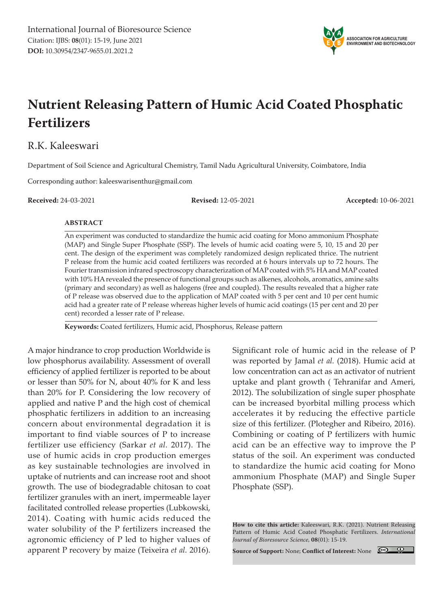

# **Nutrient Releasing Pattern of Humic Acid Coated Phosphatic Fertilizers**

### R.K. Kaleeswari

Department of Soil Science and Agricultural Chemistry, Tamil Nadu Agricultural University, Coimbatore, India

Corresponding author: kaleeswarisenthur@gmail.com

**Received:** 24-03-2021 **Revised:** 12-05-2021 **Accepted:** 10-06-2021

#### **ABSTRACT**

An experiment was conducted to standardize the humic acid coating for Mono ammonium Phosphate (MAP) and Single Super Phosphate (SSP). The levels of humic acid coating were 5, 10, 15 and 20 per cent. The design of the experiment was completely randomized design replicated thrice. The nutrient P release from the humic acid coated fertilizers was recorded at 6 hours intervals up to 72 hours. The Fourier transmission infrared spectroscopy characterization of MAP coated with 5% HA and MAP coated with 10% HA revealed the presence of functional groups such as alkenes, alcohols, aromatics, amine salts (primary and secondary) as well as halogens (free and coupled). The results revealed that a higher rate of P release was observed due to the application of MAP coated with 5 per cent and 10 per cent humic acid had a greater rate of P release whereas higher levels of humic acid coatings (15 per cent and 20 per cent) recorded a lesser rate of P release.

**Keywords:** Coated fertilizers, Humic acid, Phosphorus, Release pattern

A major hindrance to crop production Worldwide is low phosphorus availability. Assessment of overall efficiency of applied fertilizer is reported to be about or lesser than 50% for N, about 40% for K and less than 20% for P. Considering the low recovery of applied and native P and the high cost of chemical phosphatic fertilizers in addition to an increasing concern about environmental degradation it is important to find viable sources of P to increase fertilizer use efficiency (Sarkar *et al.* 2017). The use of humic acids in crop production emerges as key sustainable technologies are involved in uptake of nutrients and can increase root and shoot growth. The use of biodegradable chitosan to coat fertilizer granules with an inert, impermeable layer facilitated controlled release properties (Lubkowski, 2014). Coating with humic acids reduced the water solubility of the P fertilizers increased the agronomic efficiency of P led to higher values of apparent P recovery by maize (Teixeira *et al.* 2016).

Significant role of humic acid in the release of P was reported by Jamal *et al.* (2018). Humic acid at low concentration can act as an activator of nutrient uptake and plant growth ( Tehranifar and Ameri, 2012). The solubilization of single super phosphate can be increased byorbital milling process which accelerates it by reducing the effective particle size of this fertilizer. (Plotegher and Ribeiro, 2016). Combining or coating of P fertilizers with humic acid can be an effective way to improve the P status of the soil. An experiment was conducted to standardize the humic acid coating for Mono ammonium Phosphate (MAP) and Single Super Phosphate (SSP).

**Source of Support:** None; **Conflict of Interest:** None



**How to cite this article:** Kaleeswari, R.K. (2021). Nutrient Releasing Pattern of Humic Acid Coated Phosphatic Fertilizers. *International Journal of Bioresource Science,* **08**(01): 15-19.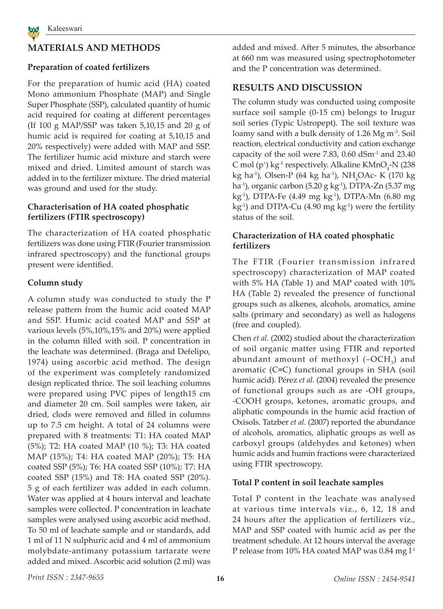

## **MATERIALS AND METHODS**

### **Preparation of coated fertilizers**

For the preparation of humic acid (HA) coated Mono ammonium Phosphate (MAP) and Single Super Phosphate (SSP), calculated quantity of humic acid required for coating at different percentages (If 100 g MAP/SSP was taken 5,10,15 and 20 g of humic acid is required for coating at 5,10,15 and 20% respectively) were added with MAP and SSP. The fertilizer humic acid mixture and starch were mixed and dried. Limited amount of starch was added in to the fertilizer mixture. The dried material was ground and used for the study.

#### **Characterisation of HA coated phosphatic fertilizers (FTIR spectroscopy)**

The characterization of HA coated phosphatic fertilizers was done using FTIR (Fourier transmission infrared spectroscopy) and the functional groups present were identified.

#### **Column study**

A column study was conducted to study the P release pattern from the humic acid coated MAP and SSP. Humic acid coated MAP and SSP at various levels (5%,10%,15% and 20%) were applied in the column filled with soil. P concentration in the leachate was determined. (Braga and Defelipo, 1974) using ascorbic acid method. The design of the experiment was completely randomized design replicated thrice. The soil leaching columns were prepared using PVC pipes of length15 cm and diameter 20 cm. Soil samples were taken, air dried, clods were removed and filled in columns up to 7.5 cm height. A total of 24 columns were prepared with 8 treatments: T1: HA coated MAP (5%); T2: HA coated MAP (10 %); T3: HA coated MAP (15%); T4: HA coated MAP (20%); T5: HA coated SSP (5%); T6: HA coated SSP (10%); T7: HA coated SSP (15%) and T8: HA coated SSP (20%). 5 g of each fertilizer was added in each column. Water was applied at 4 hours interval and leachate samples were collected. P concentration in leachate samples were analysed using ascorbic acid method. To 50 ml of leachate sample and or standards, add 1 ml of 11 N sulphuric acid and 4 ml of ammonium molybdate-antimany potassium tartarate were added and mixed. Ascorbic acid solution (2 ml) was added and mixed. After 5 minutes, the absorbance at 660 nm was measured using spectrophotometer and the P concentration was determined.

## **RESULTS AND DISCUSSION**

The column study was conducted using composite surface soil sample (0-15 cm) belongs to Irugur soil series (Typic Ustropept). The soil texture was loamy sand with a bulk density of 1.26 Mg m<sup>-3</sup>. Soil reaction, electrical conductivity and cation exchange capacity of the soil were 7.83, 0.60 dSm-1 and 23.40 C mol (p<sup>+</sup>) kg<sup>-1</sup> respectively. Alkaline KMnO<sub>4</sub>-N (238 kg ha<sup>1</sup>), Olsen-P (64 kg ha<sup>1</sup>), NH<sub>4</sub>OAc- K (170 kg ha<sup>-1</sup>), organic carbon (5.20 g kg<sup>-1</sup>), DTPA-Zn (5.37 mg kg-1), DTPA-Fe (4.49 mg kg-1), DTPA-Mn (6.80 mg  $kg<sup>-1</sup>$ ) and DTPA-Cu (4.90 mg  $kg<sup>-1</sup>$ ) were the fertility status of the soil.

#### **Characterization of HA coated phosphatic fertilizers**

The FTIR (Fourier transmission infrared spectroscopy) characterization of MAP coated with 5% HA (Table 1) and MAP coated with 10% HA (Table 2) revealed the presence of functional groups such as alkenes, alcohols, aromatics, amine salts (primary and secondary) as well as halogens (free and coupled).

Chen *et al.* (2002) studied about the characterization of soil organic matter using FTIR and reported abundant amount of methoxyl  $(-OCH<sub>3</sub>)$  and aromatic (C≡C) functional groups in SHA (soil humic acid). Pérez *et al.* (2004) revealed the presence of functional groups such as are -OH groups, -COOH groups, ketones, aromatic groups, and aliphatic compounds in the humic acid fraction of Oxisols. Tatzber *et al.* (2007) reported the abundance of alcohols, aromatics, aliphatic groups as well as carboxyl groups (aldehydes and ketones) when humic acids and humin fractions were characterized using FTIR spectroscopy.

#### **Total P content in soil leachate samples**

Total P content in the leachate was analysed at various time intervals viz., 6, 12, 18 and 24 hours after the application of fertilizers viz., MAP and SSP coated with humic acid as per the treatment schedule. At 12 hours interval the average P release from 10% HA coated MAP was 0.84 mg l<sup>-1</sup>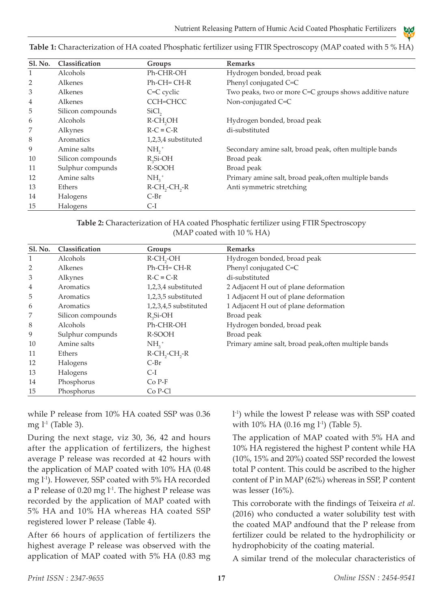A A E Y B

| <b>Sl. No.</b> | Classification    | Groups                                   | <b>Remarks</b>                                          |
|----------------|-------------------|------------------------------------------|---------------------------------------------------------|
| 1              | Alcohols          | Ph-CHR-OH                                | Hydrogen bonded, broad peak                             |
| 2              | Alkenes           | $Ph$ -CH=CH-R                            | Phenyl conjugated C=C                                   |
| 3              | Alkenes           | C=C cyclic                               | Two peaks, two or more C=C groups shows additive nature |
| 4              | Alkenes           | CCH=CHCC                                 | Non-conjugated C=C                                      |
| 5              | Silicon compounds | SiCl <sub>2</sub>                        |                                                         |
| 6              | Alcohols          | R-CH <sub>2</sub> OH                     | Hydrogen bonded, broad peak                             |
| 7              | Alkynes           | $R-C \equiv C-R$                         | di-substituted                                          |
| 8              | Aromatics         | 1,2,3,4 substituted                      |                                                         |
| 9              | Amine salts       | $NH2$ <sup>+</sup>                       | Secondary amine salt, broad peak, often multiple bands  |
| 10             | Silicon compounds | $R_{2}Si$ -OH                            | Broad peak                                              |
| 11             | Sulphur compunds  | R-SOOH                                   | Broad peak                                              |
| 12             | Amine salts       | $NH2$ <sup>+</sup>                       | Primary amine salt, broad peak, often multiple bands    |
| 13             | Ethers            | $R$ -CH <sub>2</sub> -CH <sub>2</sub> -R | Anti symmetric stretching                               |
| 14             | Halogens          | $C-Br$                                   |                                                         |
| 15             | Halogens          | $C-I$                                    |                                                         |

**Table 1:** Characterization of HA coated Phosphatic fertilizer using FTIR Spectroscopy (MAP coated with 5 % HA)

| Table 2: Characterization of HA coated Phosphatic fertilizer using FTIR Spectroscopy |  |
|--------------------------------------------------------------------------------------|--|
| (MAP coated with $10\%$ HA)                                                          |  |

| <b>Sl. No.</b> | Classification    | Groups                                   | <b>Remarks</b>                                       |
|----------------|-------------------|------------------------------------------|------------------------------------------------------|
| 1              | Alcohols          | $R$ -CH <sub>2</sub> -OH                 | Hydrogen bonded, broad peak                          |
| 2              | Alkenes           | $Ph$ -CH=CH-R                            | Phenyl conjugated C=C                                |
| 3              | Alkynes           | $R-C \equiv C-R$                         | di-substituted                                       |
| 4              | Aromatics         | 1,2,3,4 substituted                      | 2 Adjacent H out of plane deformation                |
| 5              | Aromatics         | 1,2,3,5 substituted                      | 1 Adjacent H out of plane deformation                |
| 6              | Aromatics         | 1,2,3,4,5 substituted                    | 1 Adjacent H out of plane deformation                |
| 7              | Silicon compounds | $R_{2}Si$ -OH                            | Broad peak                                           |
| 8              | Alcohols          | Ph-CHR-OH                                | Hydrogen bonded, broad peak                          |
| 9              | Sulphur compunds  | R-SOOH                                   | Broad peak                                           |
| 10             | Amine salts       | $NH2$ <sup>+</sup>                       | Primary amine salt, broad peak, often multiple bands |
| 11             | Ethers            | $R$ -CH <sub>2</sub> -CH <sub>2</sub> -R |                                                      |
| 12             | Halogens          | $C-Br$                                   |                                                      |
| 13             | Halogens          | C-I                                      |                                                      |
| 14             | Phosphorus        | $Co P-F$                                 |                                                      |
| 15             | Phosphorus        | Co P-Cl                                  |                                                      |

while P release from 10% HA coated SSP was 0.36 mg  $l<sup>-1</sup>$  (Table 3).

During the next stage, viz 30, 36, 42 and hours after the application of fertilizers, the highest average P release was recorded at 42 hours with the application of MAP coated with 10% HA (0.48 mg l-1). However, SSP coated with 5% HA recorded a P release of 0.20 mg  $l<sup>-1</sup>$ . The highest P release was recorded by the application of MAP coated with 5% HA and 10% HA whereas HA coated SSP registered lower P release (Table 4).

After 66 hours of application of fertilizers the highest average P release was observed with the application of MAP coated with 5% HA (0.83 mg

l -1) while the lowest P release was with SSP coated with 10% HA (0.16 mg  $l^{-1}$ ) (Table 5).

The application of MAP coated with 5% HA and 10% HA registered the highest P content while HA (10%, 15% and 20%) coated SSP recorded the lowest total P content. This could be ascribed to the higher content of P in MAP (62%) whereas in SSP, P content was lesser (16%).

This corroborate with the findings of Teixeira *et al.* (2016) who conducted a water solubility test with the coated MAP andfound that the P release from fertilizer could be related to the hydrophilicity or hydrophobicity of the coating material.

A similar trend of the molecular characteristics of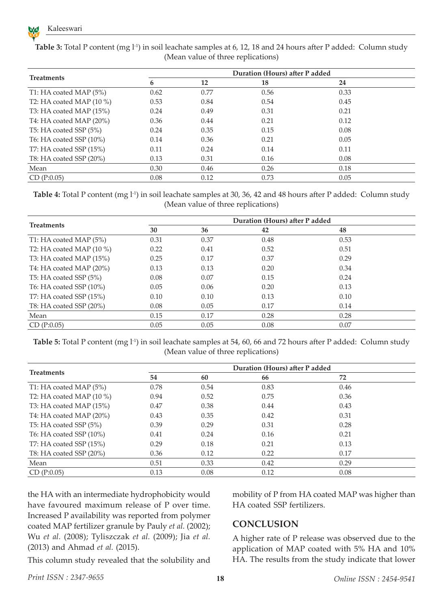

|                            | Duration (Hours) after P added |      |      |      |  |
|----------------------------|--------------------------------|------|------|------|--|
| <b>Treatments</b>          | 6                              | 12   | 18   | 24   |  |
| T1: HA coated MAP $(5\%)$  | 0.62                           | 0.77 | 0.56 | 0.33 |  |
| T2: HA coated MAP $(10\%)$ | 0.53                           | 0.84 | 0.54 | 0.45 |  |
| T3: HA coated MAP $(15\%)$ | 0.24                           | 0.49 | 0.31 | 0.21 |  |
| T4: HA coated MAP (20%)    | 0.36                           | 0.44 | 0.21 | 0.12 |  |
| T5: HA coated SSP (5%)     | 0.24                           | 0.35 | 0.15 | 0.08 |  |
| T6: HA coated SSP $(10\%)$ | 0.14                           | 0.36 | 0.21 | 0.05 |  |
| T7: HA coated SSP (15%)    | 0.11                           | 0.24 | 0.14 | 0.11 |  |
| T8: HA coated SSP (20%)    | 0.13                           | 0.31 | 0.16 | 0.08 |  |
| Mean                       | 0.30                           | 0.46 | 0.26 | 0.18 |  |
| CD(P:0.05)                 | 0.08                           | 0.12 | 0.73 | 0.05 |  |

**Table 3:** Total P content (mg l<sup>-1</sup>) in soil leachate samples at 6, 12, 18 and 24 hours after P added: Column study (Mean value of three replications)

**Table 4:** Total P content (mg l<sup>-1</sup>) in soil leachate samples at 30, 36, 42 and 48 hours after P added: Column study (Mean value of three replications)

|                            | Duration (Hours) after P added |      |      |      |  |
|----------------------------|--------------------------------|------|------|------|--|
| <b>Treatments</b>          | 30                             | 36   | 42   | 48   |  |
| T1: HA coated MAP (5%)     | 0.31                           | 0.37 | 0.48 | 0.53 |  |
| T2: HA coated MAP $(10\%)$ | 0.22                           | 0.41 | 0.52 | 0.51 |  |
| T3: HA coated MAP (15%)    | 0.25                           | 0.17 | 0.37 | 0.29 |  |
| T4: HA coated MAP (20%)    | 0.13                           | 0.13 | 0.20 | 0.34 |  |
| T5: HA coated SSP (5%)     | 0.08                           | 0.07 | 0.15 | 0.24 |  |
| T6: HA coated SSP $(10\%)$ | 0.05                           | 0.06 | 0.20 | 0.13 |  |
| T7: HA coated SSP $(15\%)$ | 0.10                           | 0.10 | 0.13 | 0.10 |  |
| T8: HA coated SSP (20%)    | 0.08                           | 0.05 | 0.17 | 0.14 |  |
| Mean                       | 0.15                           | 0.17 | 0.28 | 0.28 |  |
| CD(P:0.05)                 | 0.05                           | 0.05 | 0.08 | 0.07 |  |

**Table 5:** Total P content (mg l<sup>-1</sup>) in soil leachate samples at 54, 60, 66 and 72 hours after P added: Column study (Mean value of three replications)

|                            | Duration (Hours) after P added |      |      |      |  |
|----------------------------|--------------------------------|------|------|------|--|
| <b>Treatments</b>          | 54                             | 60   | 66   | 72   |  |
| T1: HA coated MAP $(5%)$   | 0.78                           | 0.54 | 0.83 | 0.46 |  |
| T2: HA coated MAP $(10\%)$ | 0.94                           | 0.52 | 0.75 | 0.36 |  |
| T3: HA coated MAP $(15%)$  | 0.47                           | 0.38 | 0.44 | 0.43 |  |
| T4: HA coated MAP (20%)    | 0.43                           | 0.35 | 0.42 | 0.31 |  |
| T5: HA coated SSP (5%)     | 0.39                           | 0.29 | 0.31 | 0.28 |  |
| T6: HA coated SSP $(10\%)$ | 0.41                           | 0.24 | 0.16 | 0.21 |  |
| T7: HA coated SSP $(15\%)$ | 0.29                           | 0.18 | 0.21 | 0.13 |  |
| T8: HA coated SSP $(20\%)$ | 0.36                           | 0.12 | 0.22 | 0.17 |  |
| Mean                       | 0.51                           | 0.33 | 0.42 | 0.29 |  |
| CD(P:0.05)                 | 0.13                           | 0.08 | 0.12 | 0.08 |  |

the HA with an intermediate hydrophobicity would have favoured maximum release of P over time. Increased P availability was reported from polymer coated MAP fertilizer granule by Pauly *et al.* (2002); Wu *et al.* (2008); Tyliszczak *et al.* (2009); Jia *et al.* (2013) and Ahmad *et al.* (2015).

**CONCLUSION**

HA coated SSP fertilizers.

A higher rate of P release was observed due to the application of MAP coated with 5% HA and 10% HA. The results from the study indicate that lower

mobility of P from HA coated MAP was higher than

This column study revealed that the solubility and